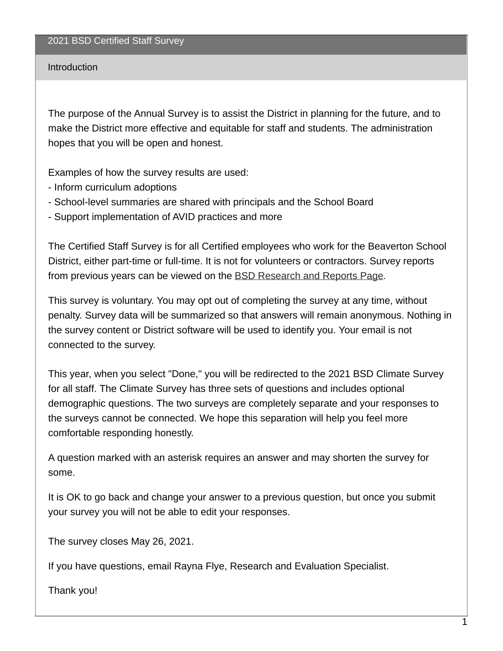## Introduction

The purpose of the Annual Survey is to assist the District in planning for the future, and to make the District more effective and equitable for staff and students. The administration hopes that you will be open and honest.

Examples of how the survey results are used:

- Inform curriculum adoptions
- School-level summaries are shared with principals and the School Board
- Support implementation of AVID practices and more

The Certified Staff Survey is for all Certified employees who work for the Beaverton School District, either part-time or full-time. It is not for volunteers or contractors. Survey reports from previous years can be viewed on the BSD [Research](https://www.beaverton.k12.or.us/departments/accountabiity/research-reports) and Reports Page.

This survey is voluntary. You may opt out of completing the survey at any time, without penalty. Survey data will be summarized so that answers will remain anonymous. Nothing in the survey content or District software will be used to identify you. Your email is not connected to the survey.

This year, when you select "Done," you will be redirected to the 2021 BSD Climate Survey for all staff. The Climate Survey has three sets of questions and includes optional demographic questions. The two surveys are completely separate and your responses to the surveys cannot be connected. We hope this separation will help you feel more comfortable responding honestly.

A question marked with an asterisk requires an answer and may shorten the survey for some.

It is OK to go back and change your answer to a previous question, but once you submit your survey you will not be able to edit your responses.

The survey closes May 26, 2021.

If you have questions, email Rayna Flye, Research and Evaluation Specialist.

Thank you!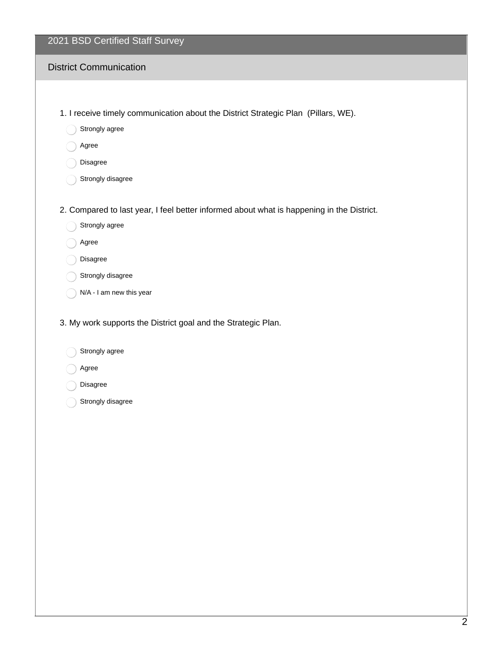#### District Communication

- 1. I receive timely communication about the District Strategic Plan (Pillars, WE).
	- Strongly agree
	- Agree
	- Disagree
	- Strongly disagree
- 2. Compared to last year, I feel better informed about what is happening in the District.
	- Strongly agree
	- Agree
	- Disagree
	- Strongly disagree
	- N/A I am new this year
- 3. My work supports the District goal and the Strategic Plan.
	- Strongly agree
	- Agree
	- Disagree
	- Strongly disagree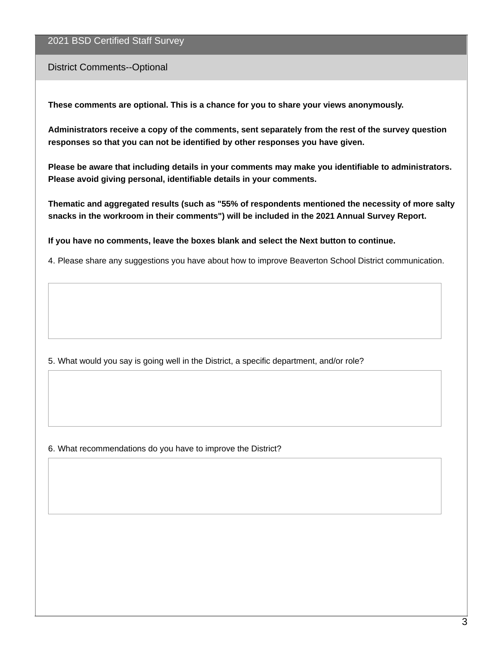#### District Comments--Optional

**These comments are optional. This is a chance for you to share your views anonymously.**

**Administrators receive a copy of the comments, sent separately from the rest of the survey question responses so that you can not be identified by other responses you have given.**

**Please be aware that including details in your comments may make you identifiable to administrators. Please avoid giving personal, identifiable details in your comments.**

**Thematic and aggregated results (such as "55% of respondents mentioned the necessity of more salty snacks in the workroom in their comments") will be included in the 2021 Annual Survey Report.**

**If you have no comments, leave the boxes blank and select the Next button to continue.**

4. Please share any suggestions you have about how to improve Beaverton School District communication.

5. What would you say is going well in the District, a specific department, and/or role?

6. What recommendations do you have to improve the District?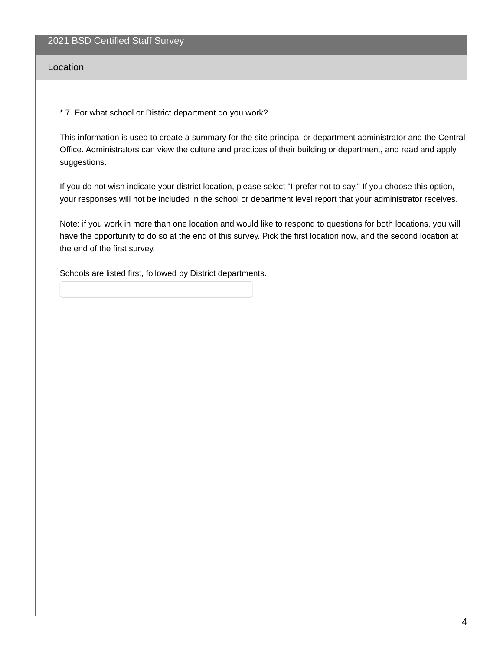Location

\* 7. For what school or District department do you work?

This information is used to create a summary for the site principal or department administrator and the Central Office. Administrators can view the culture and practices of their building or department, and read and apply suggestions.

If you do not wish indicate your district location, please select "I prefer not to say." If you choose this option, your responses will not be included in the school or department level report that your administrator receives.

Note: if you work in more than one location and would like to respond to questions for both locations, you will have the opportunity to do so at the end of this survey. Pick the first location now, and the second location at the end of the first survey.

Schools are listed first, followed by District departments.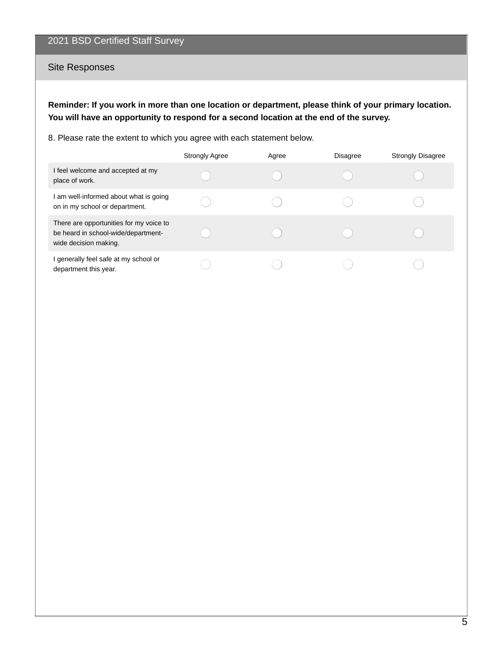## Site Responses

**Reminder: If you work in more than one location or department, please think of your primary location. You will have an opportunity to respond for a second location at the end of the survey.**

8. Please rate the extent to which you agree with each statement below.

|                                                                                                         | <b>Strongly Agree</b> | Agree | <b>Disagree</b> | <b>Strongly Disagree</b> |
|---------------------------------------------------------------------------------------------------------|-----------------------|-------|-----------------|--------------------------|
| I feel welcome and accepted at my<br>place of work.                                                     |                       |       |                 |                          |
| I am well-informed about what is going<br>on in my school or department.                                |                       |       |                 |                          |
| There are opportunities for my voice to<br>be heard in school-wide/department-<br>wide decision making. |                       |       |                 |                          |
| I generally feel safe at my school or<br>department this year.                                          |                       |       |                 |                          |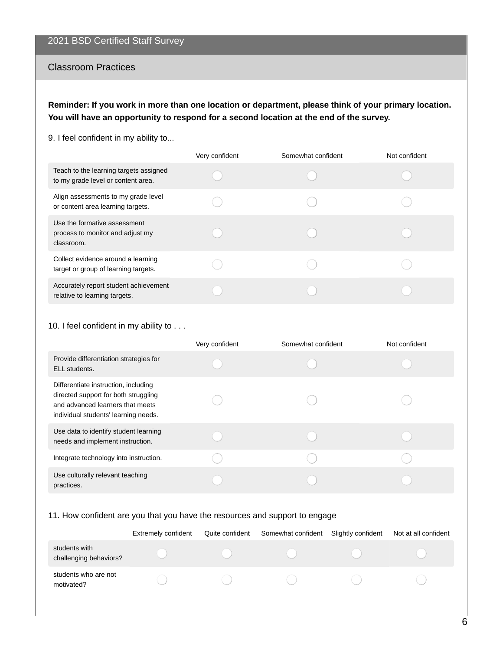#### Classroom Practices

**Reminder: If you work in more than one location or department, please think of your primary location. You will have an opportunity to respond for a second location at the end of the survey.**

9. I feel confident in my ability to...

|                                                                                | Very confident | Somewhat confident | Not confident |
|--------------------------------------------------------------------------------|----------------|--------------------|---------------|
| Teach to the learning targets assigned<br>to my grade level or content area.   |                |                    |               |
| Align assessments to my grade level<br>or content area learning targets.       |                |                    |               |
| Use the formative assessment<br>process to monitor and adjust my<br>classroom. |                |                    |               |
| Collect evidence around a learning<br>target or group of learning targets.     |                |                    |               |
| Accurately report student achievement<br>relative to learning targets.         |                |                    |               |

#### 10. I feel confident in my ability to . . .

|                                                                                                                                                          | Very confident | Somewhat confident | Not confident |
|----------------------------------------------------------------------------------------------------------------------------------------------------------|----------------|--------------------|---------------|
| Provide differentiation strategies for<br>ELL students.                                                                                                  |                |                    |               |
| Differentiate instruction, including<br>directed support for both struggling<br>and advanced learners that meets<br>individual students' learning needs. |                |                    |               |
| Use data to identify student learning<br>needs and implement instruction.                                                                                |                |                    |               |
| Integrate technology into instruction.                                                                                                                   |                |                    |               |
| Use culturally relevant teaching<br>practices.                                                                                                           |                |                    |               |

#### 11. How confident are you that you have the resources and support to engage

|                                         | <b>Extremely confident</b> | Quite confident | Somewhat confident | Slightly confident | Not at all confident |
|-----------------------------------------|----------------------------|-----------------|--------------------|--------------------|----------------------|
| students with<br>challenging behaviors? |                            |                 |                    |                    |                      |
| students who are not<br>motivated?      |                            |                 |                    |                    |                      |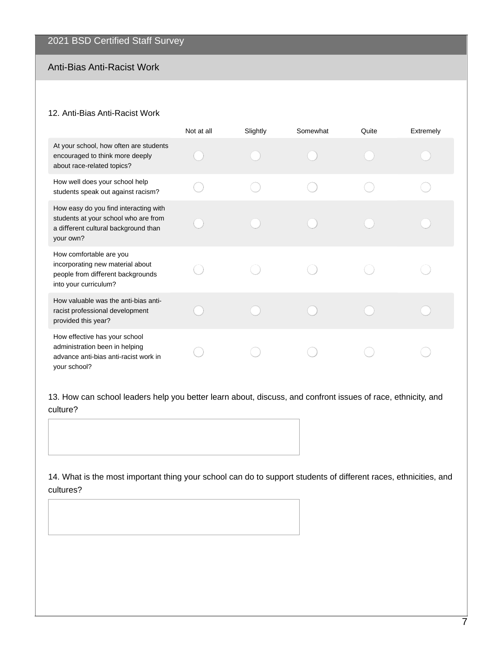## Anti-Bias Anti-Racist Work

#### 12. Anti-Bias Anti-Racist Work

|                                                                                                                                    | Not at all | Slightly | Somewhat | Quite | Extremely |
|------------------------------------------------------------------------------------------------------------------------------------|------------|----------|----------|-------|-----------|
| At your school, how often are students<br>encouraged to think more deeply<br>about race-related topics?                            |            |          |          |       |           |
| How well does your school help<br>students speak out against racism?                                                               |            |          |          |       |           |
| How easy do you find interacting with<br>students at your school who are from<br>a different cultural background than<br>your own? |            |          |          |       |           |
| How comfortable are you<br>incorporating new material about<br>people from different backgrounds<br>into your curriculum?          |            |          |          |       |           |
| How valuable was the anti-bias anti-<br>racist professional development<br>provided this year?                                     |            |          |          |       |           |
| How effective has your school<br>administration been in helping<br>advance anti-bias anti-racist work in<br>vour school?           |            |          |          |       |           |

13. How can school leaders help you better learn about, discuss, and confront issues of race, ethnicity, and culture?

14. What is the most important thing your school can do to support students of different races, ethnicities, and cultures?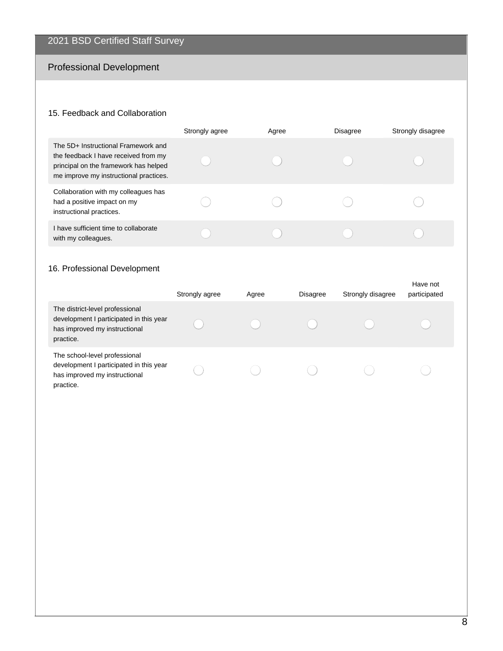# Professional Development

## 15. Feedback and Collaboration

|                                                                                                                                                                | Strongly agree | Agree | <b>Disagree</b> | Strongly disagree |
|----------------------------------------------------------------------------------------------------------------------------------------------------------------|----------------|-------|-----------------|-------------------|
| The 5D+ Instructional Framework and<br>the feedback I have received from my<br>principal on the framework has helped<br>me improve my instructional practices. |                |       |                 |                   |
| Collaboration with my colleagues has<br>had a positive impact on my<br>instructional practices.                                                                |                |       |                 |                   |
| I have sufficient time to collaborate<br>with my colleagues.                                                                                                   |                |       |                 |                   |

## 16. Professional Development

|                                                                                                                          | Strongly agree | Agree | <b>Disagree</b> | Strongly disagree | Have not<br>participated |
|--------------------------------------------------------------------------------------------------------------------------|----------------|-------|-----------------|-------------------|--------------------------|
| The district-level professional<br>development I participated in this year<br>has improved my instructional<br>practice. |                |       |                 |                   |                          |
| The school-level professional<br>development I participated in this year<br>has improved my instructional<br>practice.   |                |       |                 |                   |                          |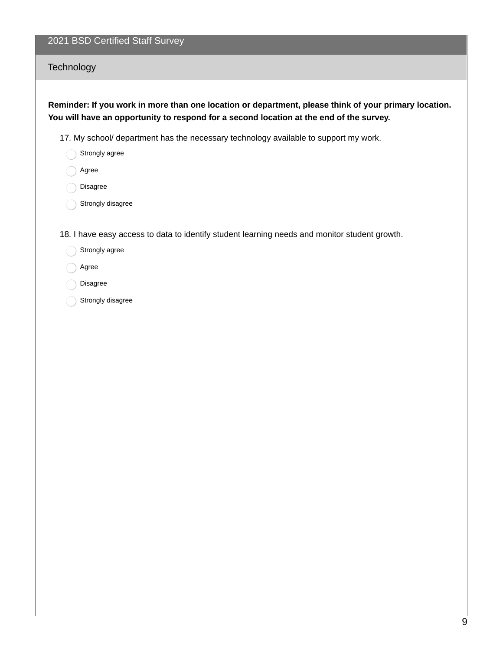## **Technology**

## **Reminder: If you work in more than one location or department, please think of your primary location. You will have an opportunity to respond for a second location at the end of the survey.**

17. My school/ department has the necessary technology available to support my work.

- Strongly agree
- Agree
- Disagree
- Strongly disagree

18. I have easy access to data to identify student learning needs and monitor student growth.

- Strongly agree
- Agree
- Disagree
- Strongly disagree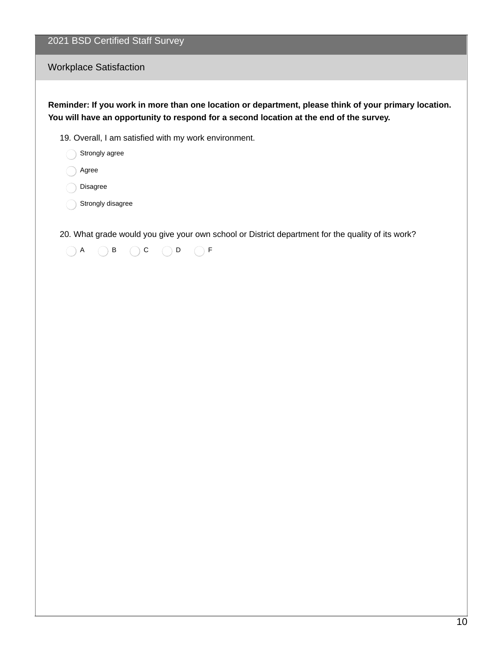Workplace Satisfaction

**Reminder: If you work in more than one location or department, please think of your primary location. You will have an opportunity to respond for a second location at the end of the survey.**

19. Overall, I am satisfied with my work environment.

Strongly agree

Agree

Disagree

Strongly disagree

20. What grade would you give your own school or District department for the quality of its work?

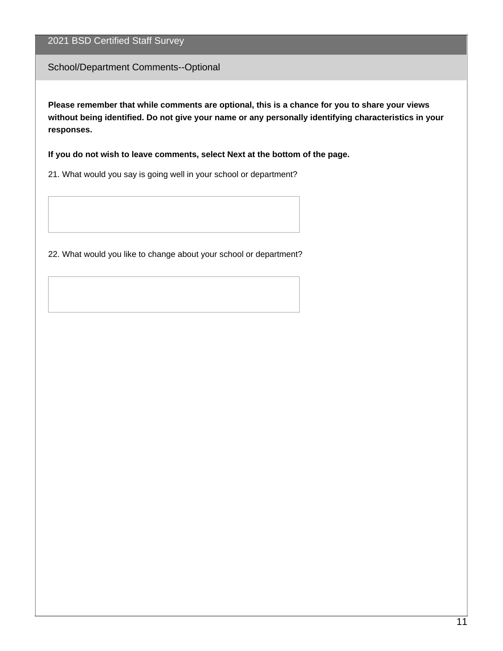School/Department Comments--Optional

**Please remember that while comments are optional, this is a chance for you to share your views without being identified. Do not give your name or any personally identifying characteristics in your responses.**

**If you do not wish to leave comments, select Next at the bottom of the page.**

21. What would you say is going well in your school or department?

22. What would you like to change about your school or department?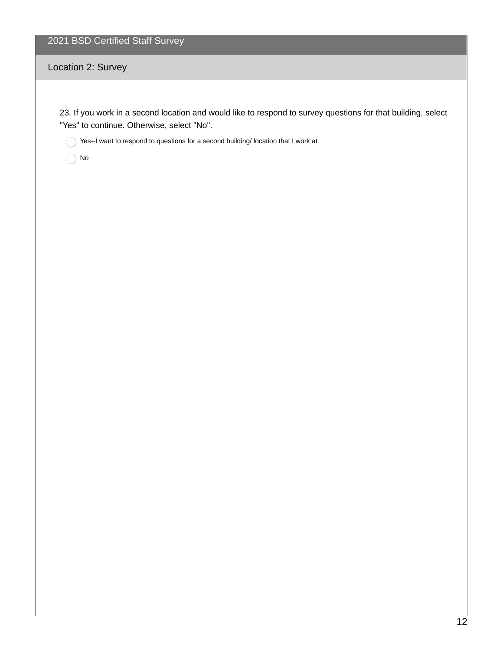## Location 2: Survey

23. If you work in a second location and would like to respond to survey questions for that building, select "Yes" to continue. Otherwise, select "No".

Yes--I want to respond to questions for a second building/ location that I work at

 $\bigcap$  No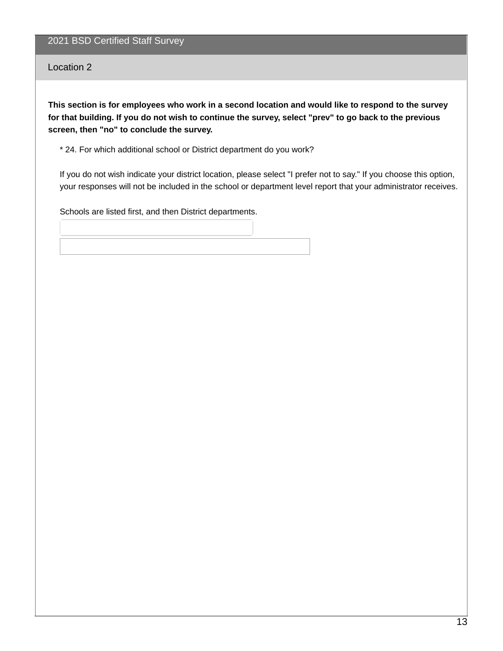Location 2

This section is for employees who work in a second location and would like to respond to the survey for that building. If you do not wish to continue the survey, select "prev" to go back to the previous **screen, then "no" to conclude the survey.**

\* 24. For which additional school or District department do you work?

If you do not wish indicate your district location, please select "I prefer not to say." If you choose this option, your responses will not be included in the school or department level report that your administrator receives.

Schools are listed first, and then District departments.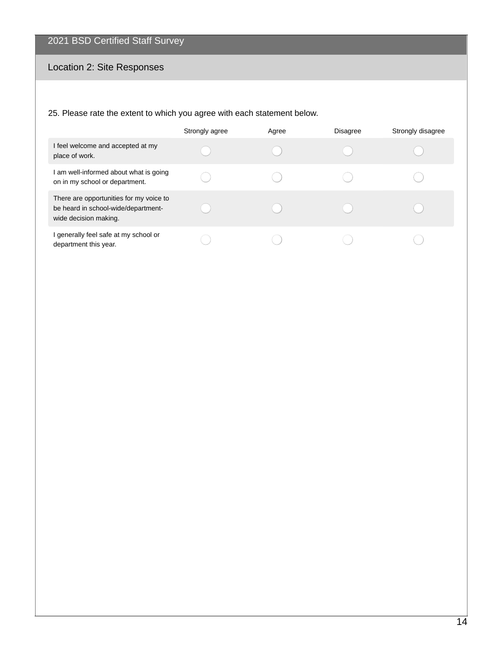# Location 2: Site Responses

## 25. Please rate the extent to which you agree with each statement below.

|                                                                                                         | Strongly agree | Agree | <b>Disagree</b> | Strongly disagree |
|---------------------------------------------------------------------------------------------------------|----------------|-------|-----------------|-------------------|
| I feel welcome and accepted at my<br>place of work.                                                     |                |       |                 |                   |
| I am well-informed about what is going<br>on in my school or department.                                |                |       |                 |                   |
| There are opportunities for my voice to<br>be heard in school-wide/department-<br>wide decision making. |                |       |                 |                   |
| I generally feel safe at my school or<br>department this year.                                          |                |       |                 |                   |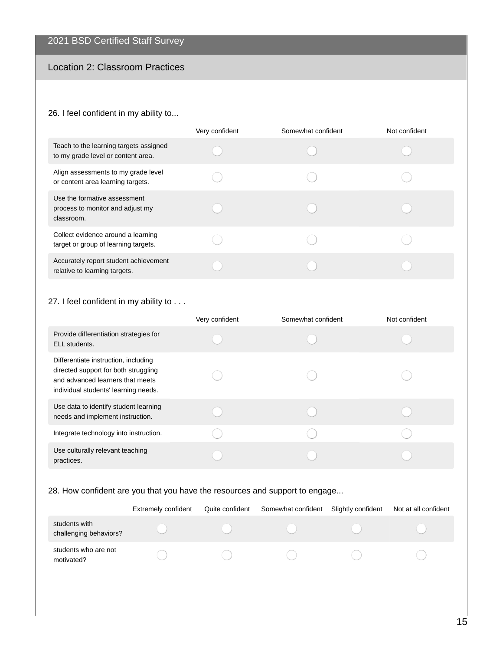# Location 2: Classroom Practices

#### 26. I feel confident in my ability to...

|                                                                                | Very confident | Somewhat confident | Not confident |
|--------------------------------------------------------------------------------|----------------|--------------------|---------------|
| Teach to the learning targets assigned<br>to my grade level or content area.   |                |                    |               |
| Align assessments to my grade level<br>or content area learning targets.       |                |                    |               |
| Use the formative assessment<br>process to monitor and adjust my<br>classroom. |                |                    |               |
| Collect evidence around a learning<br>target or group of learning targets.     |                |                    |               |
| Accurately report student achievement<br>relative to learning targets.         |                |                    |               |

#### 27. I feel confident in my ability to . . .

|                                                                                                                                                          | Very confident | Somewhat confident | Not confident |
|----------------------------------------------------------------------------------------------------------------------------------------------------------|----------------|--------------------|---------------|
| Provide differentiation strategies for<br>ELL students.                                                                                                  |                |                    |               |
| Differentiate instruction, including<br>directed support for both struggling<br>and advanced learners that meets<br>individual students' learning needs. |                |                    |               |
| Use data to identify student learning<br>needs and implement instruction.                                                                                |                |                    |               |
| Integrate technology into instruction.                                                                                                                   |                |                    |               |
| Use culturally relevant teaching<br>practices.                                                                                                           |                |                    |               |

## 28. How confident are you that you have the resources and support to engage...

|                                         | <b>Extremely confident</b> | Quite confident | Somewhat confident | Slightly confident | Not at all confident |
|-----------------------------------------|----------------------------|-----------------|--------------------|--------------------|----------------------|
| students with<br>challenging behaviors? |                            |                 |                    |                    |                      |
| students who are not<br>motivated?      |                            |                 |                    |                    |                      |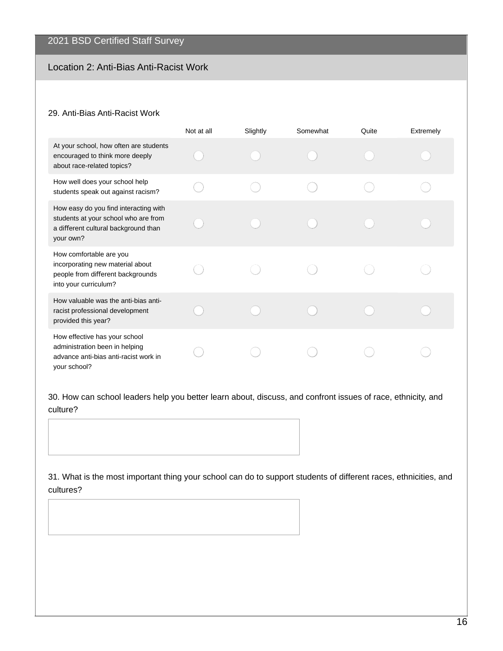## Location 2: Anti-Bias Anti-Racist Work

#### 29. Anti-Bias Anti-Racist Work

|                                                                                                                                    | Not at all | Slightly | Somewhat | Quite | Extremely |
|------------------------------------------------------------------------------------------------------------------------------------|------------|----------|----------|-------|-----------|
| At your school, how often are students<br>encouraged to think more deeply<br>about race-related topics?                            |            |          |          |       |           |
| How well does your school help<br>students speak out against racism?                                                               |            |          |          |       |           |
| How easy do you find interacting with<br>students at your school who are from<br>a different cultural background than<br>your own? |            |          |          |       |           |
| How comfortable are you<br>incorporating new material about<br>people from different backgrounds<br>into your curriculum?          |            |          |          |       |           |
| How valuable was the anti-bias anti-<br>racist professional development<br>provided this year?                                     |            |          |          |       |           |
| How effective has your school<br>administration been in helping<br>advance anti-bias anti-racist work in<br>vour school?           |            |          |          |       |           |

30. How can school leaders help you better learn about, discuss, and confront issues of race, ethnicity, and culture?

31. What is the most important thing your school can do to support students of different races, ethnicities, and cultures?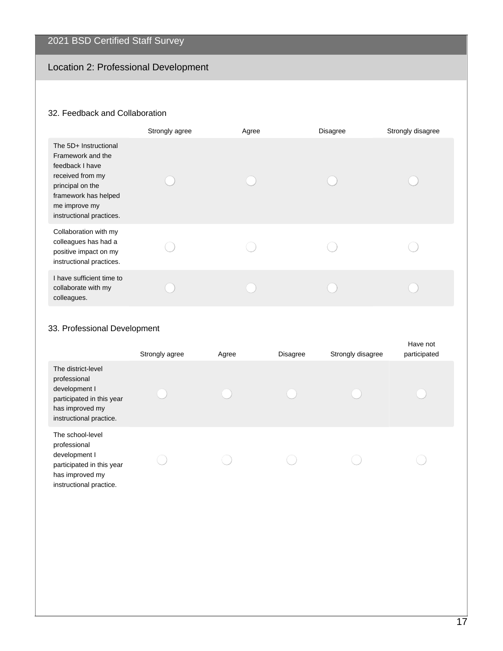# Location 2: Professional Development

# 32. Feedback and Collaboration

|                                                                                                                                                                            | Strongly agree | Agree | <b>Disagree</b> | Strongly disagree |
|----------------------------------------------------------------------------------------------------------------------------------------------------------------------------|----------------|-------|-----------------|-------------------|
| The 5D+ Instructional<br>Framework and the<br>feedback I have<br>received from my<br>principal on the<br>framework has helped<br>me improve my<br>instructional practices. |                |       |                 |                   |
| Collaboration with my<br>colleagues has had a<br>positive impact on my<br>instructional practices.                                                                         |                |       |                 |                   |
| I have sufficient time to<br>collaborate with my<br>colleagues.                                                                                                            |                |       |                 |                   |

## 33. Professional Development

|                                                                                                                                | Strongly agree | Agree | <b>Disagree</b> | Strongly disagree | Have not<br>participated |
|--------------------------------------------------------------------------------------------------------------------------------|----------------|-------|-----------------|-------------------|--------------------------|
| The district-level<br>professional<br>development I<br>participated in this year<br>has improved my<br>instructional practice. |                |       |                 |                   |                          |
| The school-level<br>professional<br>development I<br>participated in this year<br>has improved my<br>instructional practice.   |                |       |                 |                   |                          |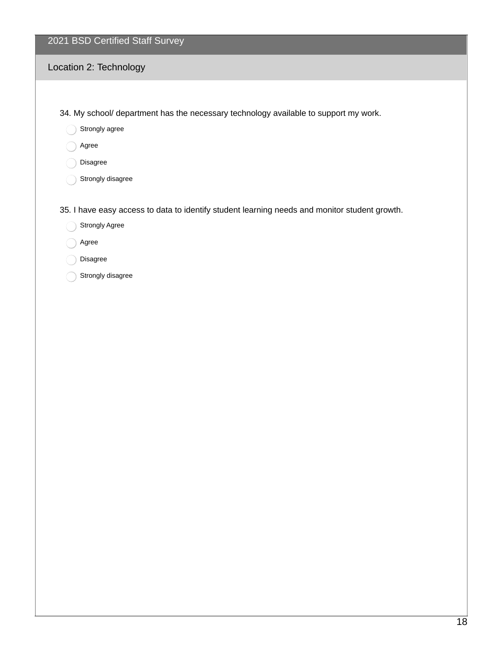## Location 2: Technology

34. My school/ department has the necessary technology available to support my work.

- Strongly agree
- Agree
- Disagree
- Strongly disagree

35. I have easy access to data to identify student learning needs and monitor student growth.

- Strongly Agree
- Agree
- Disagree
- Strongly disagree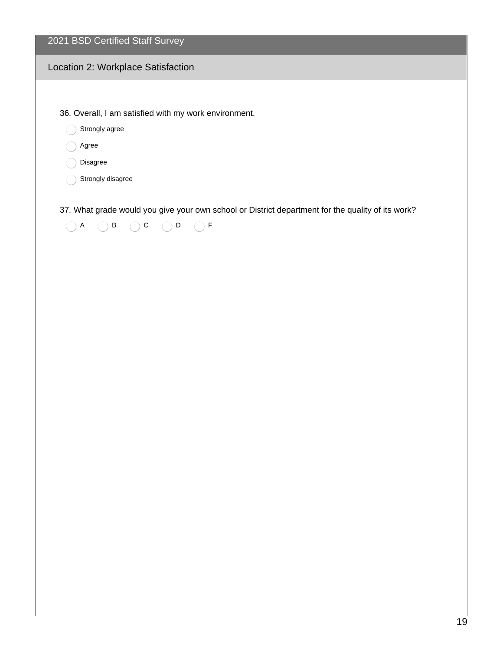#### Location 2: Workplace Satisfaction

36. Overall, I am satisfied with my work environment.

Strongly agree

Agree

Disagree

Strongly disagree

37. What grade would you give your own school or District department for the quality of its work?

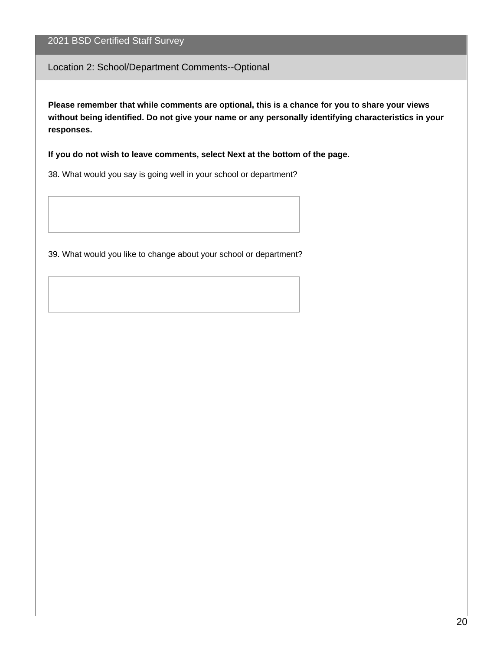#### Location 2: School/Department Comments--Optional

**Please remember that while comments are optional, this is a chance for you to share your views without being identified. Do not give your name or any personally identifying characteristics in your responses.**

**If you do not wish to leave comments, select Next at the bottom of the page.**

38. What would you say is going well in your school or department?

39. What would you like to change about your school or department?